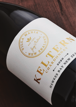